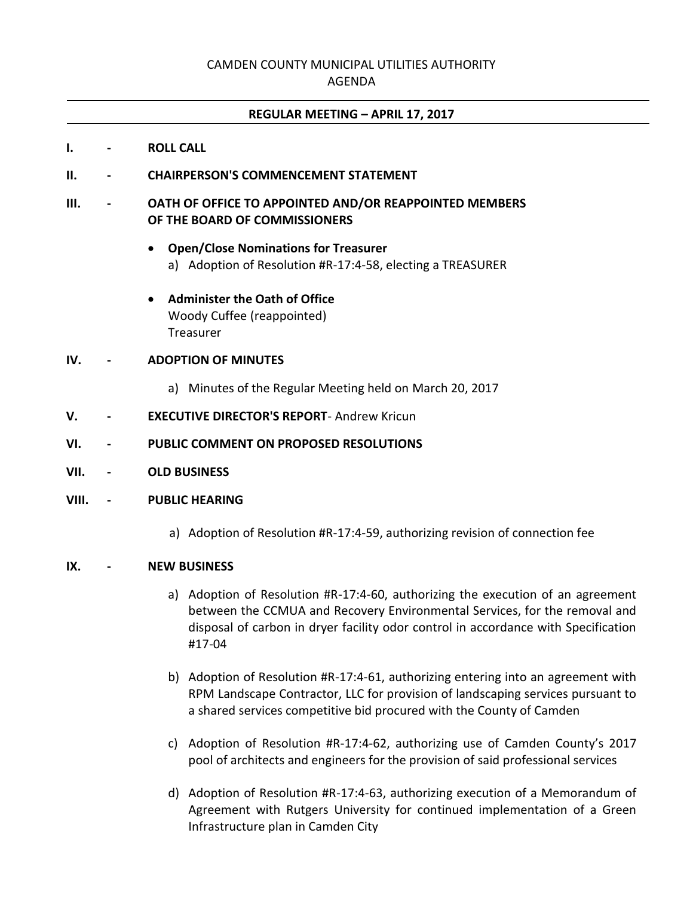# CAMDEN COUNTY MUNICIPAL UTILITIES AUTHORITY

#### AGENDA

### **REGULAR MEETING – APRIL 17, 2017**

- **I. - ROLL CALL**
- **II. - CHAIRPERSON'S COMMENCEMENT STATEMENT**
- **III. - OATH OF OFFICE TO APPOINTED AND/OR REAPPOINTED MEMBERS OF THE BOARD OF COMMISSIONERS**
	- **Open/Close Nominations for Treasurer** a) Adoption of Resolution #R-17:4-58, electing a TREASURER
	- **Administer the Oath of Office** Woody Cuffee (reappointed) Treasurer

### **IV. - ADOPTION OF MINUTES**

- a) Minutes of the Regular Meeting held on March 20, 2017
- **V. - EXECUTIVE DIRECTOR'S REPORT** Andrew Kricun
- **VI. - PUBLIC COMMENT ON PROPOSED RESOLUTIONS**
- **VII. - OLD BUSINESS**

#### **VIII. - PUBLIC HEARING**

a) Adoption of Resolution #R-17:4-59, authorizing revision of connection fee

#### **IX. - NEW BUSINESS**

- a) Adoption of Resolution #R-17:4-60, authorizing the execution of an agreement between the CCMUA and Recovery Environmental Services, for the removal and disposal of carbon in dryer facility odor control in accordance with Specification #17-04
- b) Adoption of Resolution #R-17:4-61, authorizing entering into an agreement with RPM Landscape Contractor, LLC for provision of landscaping services pursuant to a shared services competitive bid procured with the County of Camden
- c) Adoption of Resolution #R-17:4-62, authorizing use of Camden County's 2017 pool of architects and engineers for the provision of said professional services
- d) Adoption of Resolution #R-17:4-63, authorizing execution of a Memorandum of Agreement with Rutgers University for continued implementation of a Green Infrastructure plan in Camden City